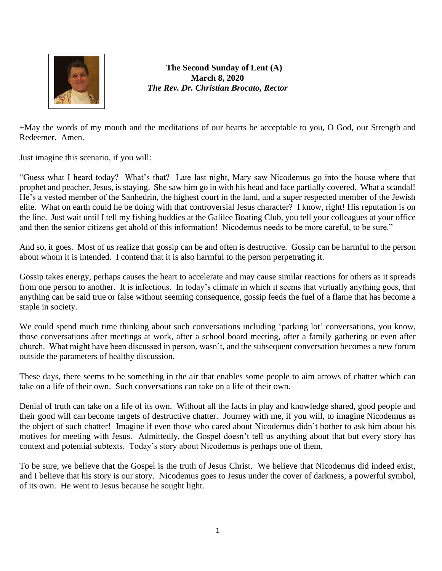

**The Second Sunday of Lent (A) March 8, 2020** *The Rev. Dr. Christian Brocato, Rector*

+May the words of my mouth and the meditations of our hearts be acceptable to you, O God, our Strength and Redeemer. Amen.

Just imagine this scenario, if you will:

"Guess what I heard today? What's that? Late last night, Mary saw Nicodemus go into the house where that prophet and peacher, Jesus, is staying. She saw him go in with his head and face partially covered. What a scandal! He's a vested member of the Sanhedrin, the highest court in the land, and a super respected member of the Jewish elite. What on earth could he be doing with that controversial Jesus character? I know, right! His reputation is on the line. Just wait until I tell my fishing buddies at the Galilee Boating Club, you tell your colleagues at your office and then the senior citizens get ahold of this information! Nicodemus needs to be more careful, to be sure."

And so, it goes. Most of us realize that gossip can be and often is destructive. Gossip can be harmful to the person about whom it is intended. I contend that it is also harmful to the person perpetrating it.

Gossip takes energy, perhaps causes the heart to accelerate and may cause similar reactions for others as it spreads from one person to another. It is infectious. In today's climate in which it seems that virtually anything goes, that anything can be said true or false without seeming consequence, gossip feeds the fuel of a flame that has become a staple in society.

We could spend much time thinking about such conversations including 'parking lot' conversations, you know, those conversations after meetings at work, after a school board meeting, after a family gathering or even after church. What might have been discussed in person, wasn't, and the subsequent conversation becomes a new forum outside the parameters of healthy discussion.

These days, there seems to be something in the air that enables some people to aim arrows of chatter which can take on a life of their own. Such conversations can take on a life of their own.

Denial of truth can take on a life of its own. Without all the facts in play and knowledge shared, good people and their good will can become targets of destructive chatter. Journey with me, if you will, to imagine Nicodemus as the object of such chatter! Imagine if even those who cared about Nicodemus didn't bother to ask him about his motives for meeting with Jesus. Admittedly, the Gospel doesn't tell us anything about that but every story has context and potential subtexts. Today's story about Nicodemus is perhaps one of them.

To be sure, we believe that the Gospel is the truth of Jesus Christ. We believe that Nicodemus did indeed exist, and I believe that his story is our story. Nicodemus goes to Jesus under the cover of darkness, a powerful symbol, of its own. He went to Jesus because he sought light.